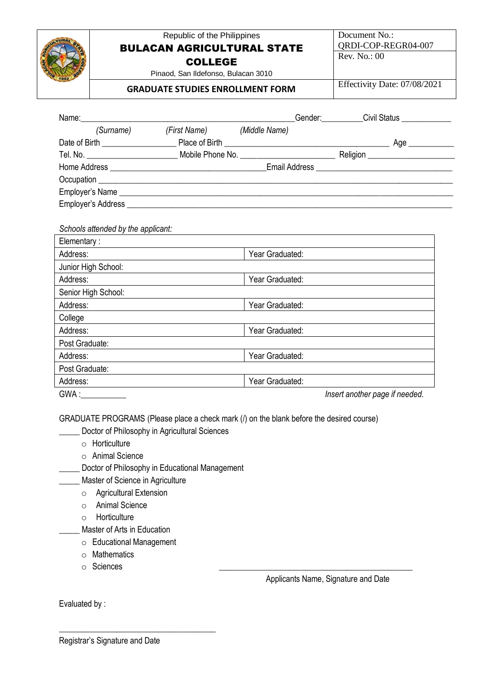|                | Republic of the Philippines<br><b>BULACAN AGRICULTURAL STATE</b> |                                                                                                                        | Document No.:<br>QRDI-COP-REGR04-007 |                                                 |
|----------------|------------------------------------------------------------------|------------------------------------------------------------------------------------------------------------------------|--------------------------------------|-------------------------------------------------|
|                |                                                                  |                                                                                                                        |                                      | Rev. No.: 00                                    |
|                |                                                                  | <b>COLLEGE</b>                                                                                                         |                                      |                                                 |
|                |                                                                  | Pinaod, San Ildefonso, Bulacan 3010                                                                                    |                                      | Effectivity Date: 07/08/2021                    |
|                | <b>GRADUATE STUDIES ENROLLMENT FORM</b>                          |                                                                                                                        |                                      |                                                 |
| Name:          |                                                                  |                                                                                                                        |                                      | _Gender:____________Civil Status ______________ |
|                |                                                                  | (Surname) (First Name) (Middle Name)                                                                                   |                                      |                                                 |
|                |                                                                  |                                                                                                                        |                                      |                                                 |
|                |                                                                  |                                                                                                                        |                                      |                                                 |
|                |                                                                  |                                                                                                                        |                                      |                                                 |
|                |                                                                  |                                                                                                                        |                                      |                                                 |
|                |                                                                  |                                                                                                                        |                                      |                                                 |
|                |                                                                  |                                                                                                                        |                                      |                                                 |
|                |                                                                  |                                                                                                                        |                                      |                                                 |
|                |                                                                  |                                                                                                                        |                                      |                                                 |
|                | Schools attended by the applicant:                               |                                                                                                                        |                                      |                                                 |
| Elementary:    |                                                                  |                                                                                                                        |                                      |                                                 |
| Address:       |                                                                  | <u> 1989 - Johann Stein, fransk kampens og det forskellige og det forskellige og det forskellige og det forskellig</u> | Year Graduated:                      |                                                 |
|                | Junior High School:                                              |                                                                                                                        |                                      |                                                 |
| Address:       |                                                                  |                                                                                                                        | Year Graduated:                      |                                                 |
|                | Senior High School:                                              |                                                                                                                        |                                      |                                                 |
| Address:       |                                                                  |                                                                                                                        | Year Graduated:                      |                                                 |
| College        |                                                                  |                                                                                                                        |                                      |                                                 |
| Address:       |                                                                  |                                                                                                                        | Year Graduated:                      |                                                 |
| Post Graduate: |                                                                  |                                                                                                                        |                                      |                                                 |
| Address:       |                                                                  |                                                                                                                        | Year Graduated:                      |                                                 |
| Post Graduate: |                                                                  |                                                                                                                        |                                      |                                                 |

GWA :\_\_\_\_\_\_\_\_\_\_\_ *Insert another page if needed.*

GRADUATE PROGRAMS (Please place a check mark (/) on the blank before the desired course)

**LECTER** Doctor of Philosophy in Agricultural Sciences

- o Horticulture
- o Animal Science
- **\_\_\_\_\_** Doctor of Philosophy in Educational Management
	- \_\_\_\_\_ Master of Science in Agriculture
		- o Agricultural Extension
		- o Animal Science
		- o Horticulture
		- \_\_\_\_\_ Master of Arts in Education
		- o Educational Management

\_\_\_\_\_\_\_\_\_\_\_\_\_\_\_\_\_\_\_\_\_\_\_\_\_\_\_\_\_\_\_\_\_\_\_\_\_\_

- o Mathematics
- $\circ$  Sciences

Applicants Name, Signature and Date

Evaluated by :